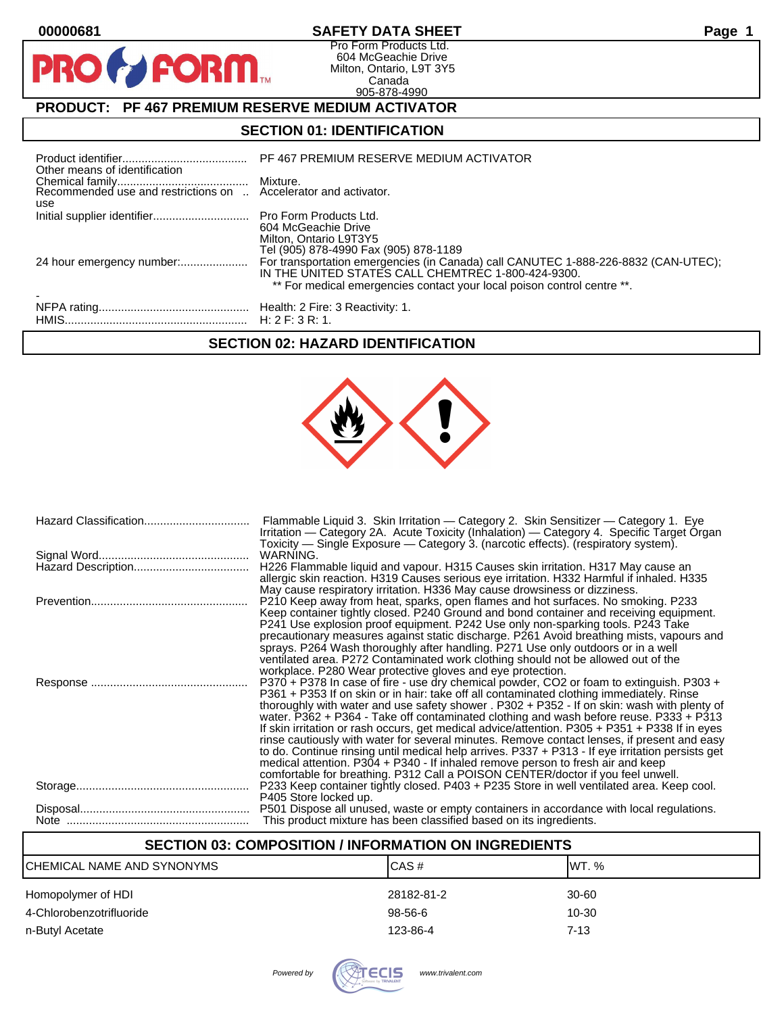$\bullet$ 

PR

## **00000681 SAFETY DATA SHEET Page 1**

Pro Form Products Ltd. 604 McGeachie Drive Milton, Ontario, L9T 3Y5 Canada 905-878-4990

# **PRODUCT: PF 467 PREMIUM RESERVE MEDIUM ACTIVATOR**

**FORM** 

## **SECTION 01: IDENTIFICATION**

| Other means of identification | PF 467 PREMIUM RESERVE MEDIUM ACTIVATOR                                                                                                                                                                             |
|-------------------------------|---------------------------------------------------------------------------------------------------------------------------------------------------------------------------------------------------------------------|
| use                           |                                                                                                                                                                                                                     |
|                               | 604 McGeachie Drive<br>Milton, Ontario L9T3Y5<br>Tel (905) 878-4990 Fax (905) 878-1189                                                                                                                              |
| 24 hour emergency number:     | For transportation emergencies (in Canada) call CANUTEC 1-888-226-8832 (CAN-UTEC);<br>IN THE UNITED STATES CALL CHEMTREC 1-800-424-9300.<br>** For medical emergencies contact your local poison control centre **. |
|                               |                                                                                                                                                                                                                     |

## **SECTION 02: HAZARD IDENTIFICATION**



| Flammable Liquid 3. Skin Irritation - Category 2. Skin Sensitizer - Category 1. Eye<br>Irritation — Category 2A. Acute Toxicity (Inhalation) — Category 4. Specific Target Organ<br>Toxicity — Single Exposure — Category 3. (narcotic effects). (respiratory system).                                                                                                                                                                                                                                                                                                                                                                                                                                                                                                                                                                                   |
|----------------------------------------------------------------------------------------------------------------------------------------------------------------------------------------------------------------------------------------------------------------------------------------------------------------------------------------------------------------------------------------------------------------------------------------------------------------------------------------------------------------------------------------------------------------------------------------------------------------------------------------------------------------------------------------------------------------------------------------------------------------------------------------------------------------------------------------------------------|
| WARNING.                                                                                                                                                                                                                                                                                                                                                                                                                                                                                                                                                                                                                                                                                                                                                                                                                                                 |
| H226 Flammable liquid and vapour. H315 Causes skin irritation. H317 May cause an<br>allergic skin reaction. H319 Causes serious eye irritation. H332 Harmful if inhaled. H335<br>May cause respiratory irritation. H336 May cause drowsiness or dizziness.                                                                                                                                                                                                                                                                                                                                                                                                                                                                                                                                                                                               |
| P210 Keep away from heat, sparks, open flames and hot surfaces. No smoking. P233<br>Keep container tightly closed. P240 Ground and bond container and receiving equipment.<br>P241 Use explosion proof equipment. P242 Use only non-sparking tools. P243 Take<br>precautionary measures against static discharge. P261 Avoid breathing mists, vapours and<br>sprays. P264 Wash thoroughly after handling. P271 Use only outdoors or in a well<br>ventilated area. P272 Contaminated work clothing should not be allowed out of the<br>workplace. P280 Wear protective gloves and eye protection.                                                                                                                                                                                                                                                         |
| P370 + P378 In case of fire - use dry chemical powder, CO2 or foam to extinguish. P303 +<br>P361 + P353 If on skin or in hair: take off all contaminated clothing immediately. Rinse<br>thoroughly with water and use safety shower . P302 + P352 - If on skin: wash with plenty of<br>water. P362 + P364 - Take off contaminated clothing and wash before reuse. P333 + P313<br>If skin irritation or rash occurs, get medical advice/attention. P305 + P351 + P338 If in eyes<br>rinse cautiously with water for several minutes. Remove contact lenses, if present and easy<br>to do. Continue rinsing until medical help arrives. P337 + P313 - If eye irritation persists get<br>medical attention. P304 + P340 - If inhaled remove person to fresh air and keep<br>comfortable for breathing. P312 Call a POISON CENTER/doctor if you feel unwell. |
| P233 Keep container tightly closed. P403 + P235 Store in well ventilated area. Keep cool.<br>P405 Store locked up.                                                                                                                                                                                                                                                                                                                                                                                                                                                                                                                                                                                                                                                                                                                                       |
| P501 Dispose all unused, waste or empty containers in accordance with local regulations.<br>This product mixture has been classified based on its ingredients.                                                                                                                                                                                                                                                                                                                                                                                                                                                                                                                                                                                                                                                                                           |

## **SECTION 03: COMPOSITION / INFORMATION ON INGREDIENTS**

| CHEMICAL NAME AND SYNONYMS | CAS#       | IWT. %   |
|----------------------------|------------|----------|
| Homopolymer of HDI         | 28182-81-2 | 30-60    |
| 4-Chlorobenzotrifluoride   | 98-56-6    | 10-30    |
| n-Butyl Acetate            | 123-86-4   | $7 - 13$ |

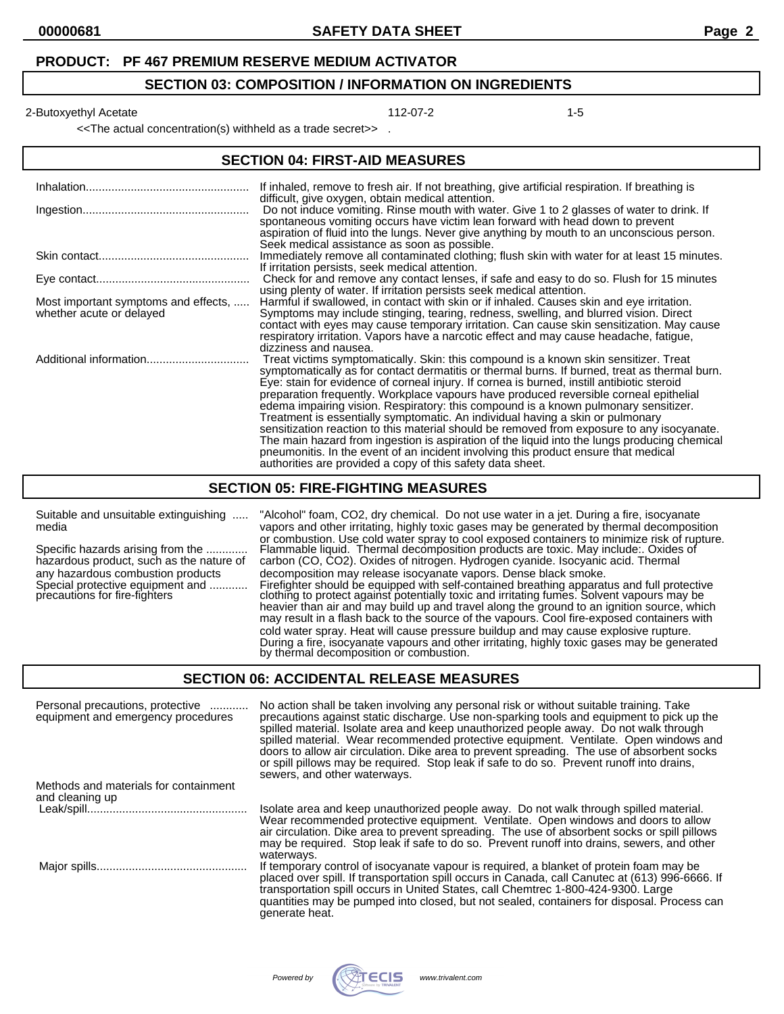#### **SECTION 03: COMPOSITION / INFORMATION ON INGREDIENTS**

2-Butoxyethyl Acetate 112-07-2 12-Butoxyethyl Acetate 112-07-2

<<The actual concentration(s) withheld as a trade secret>> .

#### **SECTION 04: FIRST-AID MEASURES**

|                                                                  | If inhaled, remove to fresh air. If not breathing, give artificial respiration. If breathing is<br>difficult, give oxygen, obtain medical attention.                                                                                                                                                                                                                                                                                                                                                                                                                                                                                                                                                                                                                                                                                                                                                     |
|------------------------------------------------------------------|----------------------------------------------------------------------------------------------------------------------------------------------------------------------------------------------------------------------------------------------------------------------------------------------------------------------------------------------------------------------------------------------------------------------------------------------------------------------------------------------------------------------------------------------------------------------------------------------------------------------------------------------------------------------------------------------------------------------------------------------------------------------------------------------------------------------------------------------------------------------------------------------------------|
|                                                                  | Do not induce vomiting. Rinse mouth with water. Give 1 to 2 glasses of water to drink. If<br>spontaneous vomiting occurs have victim lean forward with head down to prevent<br>aspiration of fluid into the lungs. Never give anything by mouth to an unconscious person.<br>Seek medical assistance as soon as possible.                                                                                                                                                                                                                                                                                                                                                                                                                                                                                                                                                                                |
|                                                                  | Immediately remove all contaminated clothing; flush skin with water for at least 15 minutes.<br>If irritation persists, seek medical attention.                                                                                                                                                                                                                                                                                                                                                                                                                                                                                                                                                                                                                                                                                                                                                          |
|                                                                  | Check for and remove any contact lenses, if safe and easy to do so. Flush for 15 minutes<br>using plenty of water. If irritation persists seek medical attention.                                                                                                                                                                                                                                                                                                                                                                                                                                                                                                                                                                                                                                                                                                                                        |
| Most important symptoms and effects,<br>whether acute or delayed | Harmful if swallowed, in contact with skin or if inhaled. Causes skin and eye irritation.<br>Symptoms may include stinging, tearing, redness, swelling, and blurred vision. Direct<br>contact with eyes may cause temporary irritation. Can cause skin sensitization. May cause<br>respiratory irritation. Vapors have a narcotic effect and may cause headache, fatigue,<br>dizziness and nausea.                                                                                                                                                                                                                                                                                                                                                                                                                                                                                                       |
|                                                                  | Treat victims symptomatically. Skin: this compound is a known skin sensitizer. Treat<br>symptomatically as for contact dermatitis or thermal burns. If burned, treat as thermal burn.<br>Eye: stain for evidence of corneal injury. If cornea is burned, instill antibiotic steroid<br>preparation frequently. Workplace vapours have produced reversible corneal epithelial<br>edema impairing vision. Respiratory: this compound is a known pulmonary sensitizer.<br>Treatment is essentially symptomatic. An individual having a skin or pulmonary<br>sensitization reaction to this material should be removed from exposure to any isocyanate.<br>The main hazard from ingestion is aspiration of the liquid into the lungs producing chemical<br>pneumonitis. In the event of an incident involving this product ensure that medical<br>authorities are provided a copy of this safety data sheet. |

#### **SECTION 05: FIRE-FIGHTING MEASURES**

Suitable and unsuitable extinguishing ..... "Alcohol" foam, CO2, dry chemical. Do not use water in a jet. During a fire, isocyanate media vapors and other irritating, highly toxic gases may be generated by thermal decomposition or combustion. Use cold water spray to cool exposed containers to minimize risk of rupture. Specific hazards arising from the ............. Flammable liquid. Thermal decomposition products are toxic. May include:. Oxides of Specific hazards arising from the ............. Flammable liquid. Thermal decomposition products are toxic. May include:. Oxides<br>hazardous product, such as the nature of carbon (CO, CO2). Oxides of nitrogen. Hydrogen cyani any hazardous combustion products decomposition may release isocyanate vapors. Dense black smoke.<br>Special protective equipment and ............ Firefighter should be equipped with self-contained breathing apparat Special protective equipment and ............ Firefighter should be equipped with self-contained breathing apparatus and full protective precautions for fire-fighters clothing to protect against potentially toxic and irritating fumes. Solvent vapours may be heavier than air and may build up and travel along the ground to an ignition source, which may result in a flash back to the source of the vapours. Cool fire-exposed containers with cold water spray. Heat will cause pressure buildup and may cause explosive rupture. During a fire, isocyanate vapours and other irritating, highly toxic gases may be generated by thermal decomposition or combustion.

#### **SECTION 06: ACCIDENTAL RELEASE MEASURES**

| Personal precautions, protective<br>equipment and emergency procedures | No action shall be taken involving any personal risk or without suitable training. Take<br>precautions against static discharge. Use non-sparking tools and equipment to pick up the<br>spilled material. Isolate area and keep unauthorized people away. Do not walk through<br>spilled material. Wear recommended protective equipment. Ventilate. Open windows and<br>doors to allow air circulation. Dike area to prevent spreading. The use of absorbent socks<br>or spill pillows may be required. Stop leak if safe to do so. Prevent runoff into drains,<br>sewers, and other waterways. |
|------------------------------------------------------------------------|--------------------------------------------------------------------------------------------------------------------------------------------------------------------------------------------------------------------------------------------------------------------------------------------------------------------------------------------------------------------------------------------------------------------------------------------------------------------------------------------------------------------------------------------------------------------------------------------------|
| Methods and materials for containment<br>and cleaning up               |                                                                                                                                                                                                                                                                                                                                                                                                                                                                                                                                                                                                  |
|                                                                        | Isolate area and keep unauthorized people away. Do not walk through spilled material.<br>Wear recommended protective equipment. Ventilate. Open windows and doors to allow<br>air circulation. Dike area to prevent spreading. The use of absorbent socks or spill pillows<br>may be required. Stop leak if safe to do so. Prevent runoff into drains, sewers, and other<br>waterways.                                                                                                                                                                                                           |
|                                                                        | If temporary control of isocyanate vapour is required, a blanket of protein foam may be<br>placed over spill. If transportation spill occurs in Canada, call Canutec at (613) 996-6666. If<br>transportation spill occurs in United States, call Chemtrec 1-800-424-9300. Large<br>quantities may be pumped into closed, but not sealed, containers for disposal. Process can<br>generate heat.                                                                                                                                                                                                  |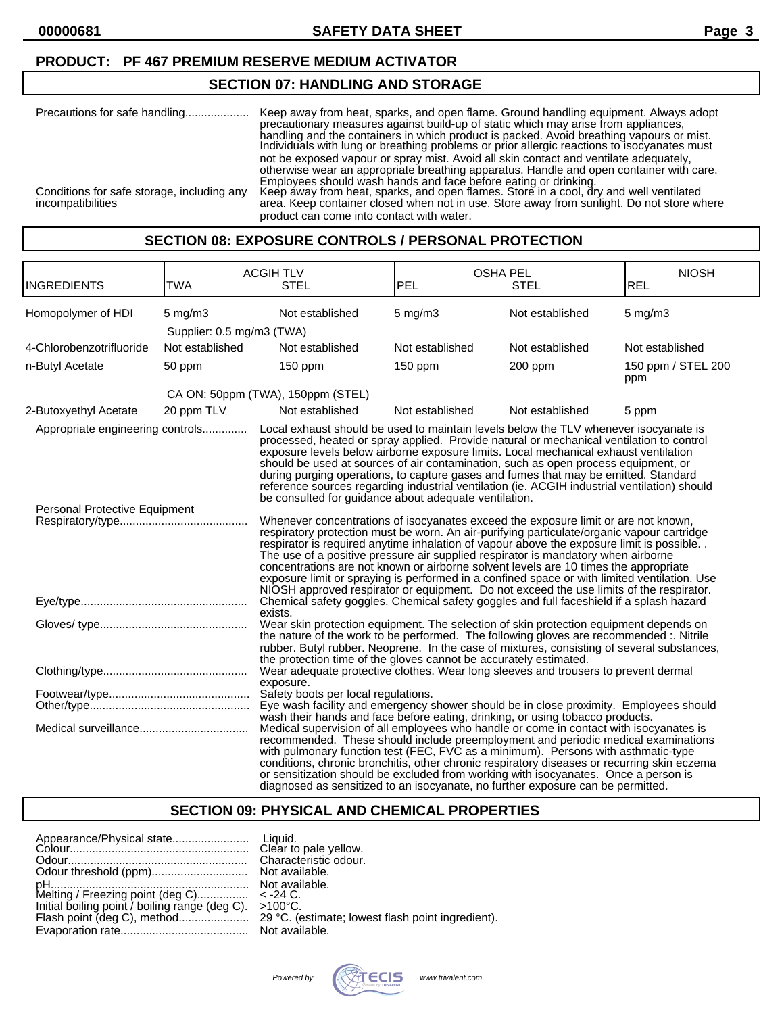### **PRODUCT: PF 467 PREMIUM RESERVE MEDIUM ACTIVATOR**

## **SECTION 07: HANDLING AND STORAGE**

| Precautions for safe handling                                   | Keep away from heat, sparks, and open flame. Ground handling equipment. Always adopt<br>precautionary measures against build-up of static which may arise from appliances.<br>handling and the containers in which product is packed. Avoid breathing vapours or mist.<br>Individuals with lung or breathing problems or prior allergic reactions to isocyanates must<br>not be exposed vapour or spray mist. Avoid all skin contact and ventilate adequately, |
|-----------------------------------------------------------------|----------------------------------------------------------------------------------------------------------------------------------------------------------------------------------------------------------------------------------------------------------------------------------------------------------------------------------------------------------------------------------------------------------------------------------------------------------------|
| Conditions for safe storage, including any<br>incompatibilities | otherwise wear an appropriate breathing apparatus. Handle and open container with care.<br>Employees should wash hands and face before eating or drinking.<br>Keep away from heat, sparks, and open flames. Store in a cool, dry and well ventilated<br>area. Keep container closed when not in use. Store away from sunlight. Do not store where<br>product can come into contact with water.                                                                 |

#### **SECTION 08: EXPOSURE CONTROLS / PERSONAL PROTECTION**

| <b>INGREDIENTS</b>                                                | <b>TWA</b>                                | <b>ACGIHTLV</b><br><b>STEL</b>                                                                                                                                                                                                                                                                                                                                                                                                                                                                                                                                                                                                                                                                                                                                                                                                                                                                                                                                                                                                                                                                                                                                               | <b>OSHA PEL</b><br>PEL | <b>STEL</b>     | <b>NIOSH</b><br><b>REL</b> |
|-------------------------------------------------------------------|-------------------------------------------|------------------------------------------------------------------------------------------------------------------------------------------------------------------------------------------------------------------------------------------------------------------------------------------------------------------------------------------------------------------------------------------------------------------------------------------------------------------------------------------------------------------------------------------------------------------------------------------------------------------------------------------------------------------------------------------------------------------------------------------------------------------------------------------------------------------------------------------------------------------------------------------------------------------------------------------------------------------------------------------------------------------------------------------------------------------------------------------------------------------------------------------------------------------------------|------------------------|-----------------|----------------------------|
| Homopolymer of HDI                                                | $5$ mg/m $3$<br>Supplier: 0.5 mg/m3 (TWA) | Not established                                                                                                                                                                                                                                                                                                                                                                                                                                                                                                                                                                                                                                                                                                                                                                                                                                                                                                                                                                                                                                                                                                                                                              | $5$ mg/m $3$           | Not established | $5$ mg/m $3$               |
| 4-Chlorobenzotrifluoride                                          | Not established                           | Not established                                                                                                                                                                                                                                                                                                                                                                                                                                                                                                                                                                                                                                                                                                                                                                                                                                                                                                                                                                                                                                                                                                                                                              | Not established        | Not established | Not established            |
| n-Butyl Acetate                                                   | 50 ppm                                    | $150$ ppm                                                                                                                                                                                                                                                                                                                                                                                                                                                                                                                                                                                                                                                                                                                                                                                                                                                                                                                                                                                                                                                                                                                                                                    | $150$ ppm              | 200 ppm         | 150 ppm / STEL 200<br>ppm  |
|                                                                   |                                           | CA ON: 50ppm (TWA), 150ppm (STEL)                                                                                                                                                                                                                                                                                                                                                                                                                                                                                                                                                                                                                                                                                                                                                                                                                                                                                                                                                                                                                                                                                                                                            |                        |                 |                            |
| 2-Butoxyethyl Acetate                                             | 20 ppm TLV                                | Not established                                                                                                                                                                                                                                                                                                                                                                                                                                                                                                                                                                                                                                                                                                                                                                                                                                                                                                                                                                                                                                                                                                                                                              | Not established        | Not established | 5 ppm                      |
| Appropriate engineering controls<br>Personal Protective Equipment |                                           | Local exhaust should be used to maintain levels below the TLV whenever isocyanate is<br>processed, heated or spray applied. Provide natural or mechanical ventilation to control<br>exposure levels below airborne exposure limits. Local mechanical exhaust ventilation<br>should be used at sources of air contamination, such as open process equipment, or<br>during purging operations, to capture gases and fumes that may be emitted. Standard<br>reference sources regarding industrial ventilation (ie. ACGIH industrial ventilation) should<br>be consulted for guidance about adequate ventilation.<br>Whenever concentrations of isocyanates exceed the exposure limit or are not known,<br>respiratory protection must be worn. An air-purifying particulate/organic vapour cartridge<br>respirator is required anytime inhalation of vapour above the exposure limit is possible.<br>The use of a positive pressure air supplied respirator is mandatory when airborne<br>concentrations are not known or airborne solvent levels are 10 times the appropriate<br>exposure limit or spraying is performed in a confined space or with limited ventilation. Use |                        |                 |                            |
|                                                                   |                                           | NIOSH approved respirator or equipment. Do not exceed the use limits of the respirator.<br>Chemical safety goggles. Chemical safety goggles and full faceshield if a splash hazard                                                                                                                                                                                                                                                                                                                                                                                                                                                                                                                                                                                                                                                                                                                                                                                                                                                                                                                                                                                           |                        |                 |                            |
|                                                                   |                                           | exists.<br>Wear skin protection equipment. The selection of skin protection equipment depends on<br>the nature of the work to be performed. The following gloves are recommended :. Nitrile<br>rubber. Butyl rubber. Neoprene. In the case of mixtures, consisting of several substances,<br>the protection time of the gloves cannot be accurately estimated.                                                                                                                                                                                                                                                                                                                                                                                                                                                                                                                                                                                                                                                                                                                                                                                                               |                        |                 |                            |
|                                                                   |                                           | Wear adequate protective clothes. Wear long sleeves and trousers to prevent dermal<br>exposure.                                                                                                                                                                                                                                                                                                                                                                                                                                                                                                                                                                                                                                                                                                                                                                                                                                                                                                                                                                                                                                                                              |                        |                 |                            |
|                                                                   |                                           | Safety boots per local regulations.<br>Eye wash facility and emergency shower should be in close proximity. Employees should<br>wash their hands and face before eating, drinking, or using tobacco products.                                                                                                                                                                                                                                                                                                                                                                                                                                                                                                                                                                                                                                                                                                                                                                                                                                                                                                                                                                |                        |                 |                            |
|                                                                   |                                           | Medical supervision of all employees who handle or come in contact with isocyanates is<br>recommended. These should include preemployment and periodic medical examinations<br>with pulmonary function test (FEC, FVC as a minimum). Persons with asthmatic-type<br>conditions, chronic bronchitis, other chronic respiratory diseases or recurring skin eczema<br>or sensitization should be excluded from working with isocyanates. Once a person is<br>diagnosed as sensitized to an isocyanate, no further exposure can be permitted.                                                                                                                                                                                                                                                                                                                                                                                                                                                                                                                                                                                                                                    |                        |                 |                            |

## **SECTION 09: PHYSICAL AND CHEMICAL PROPERTIES**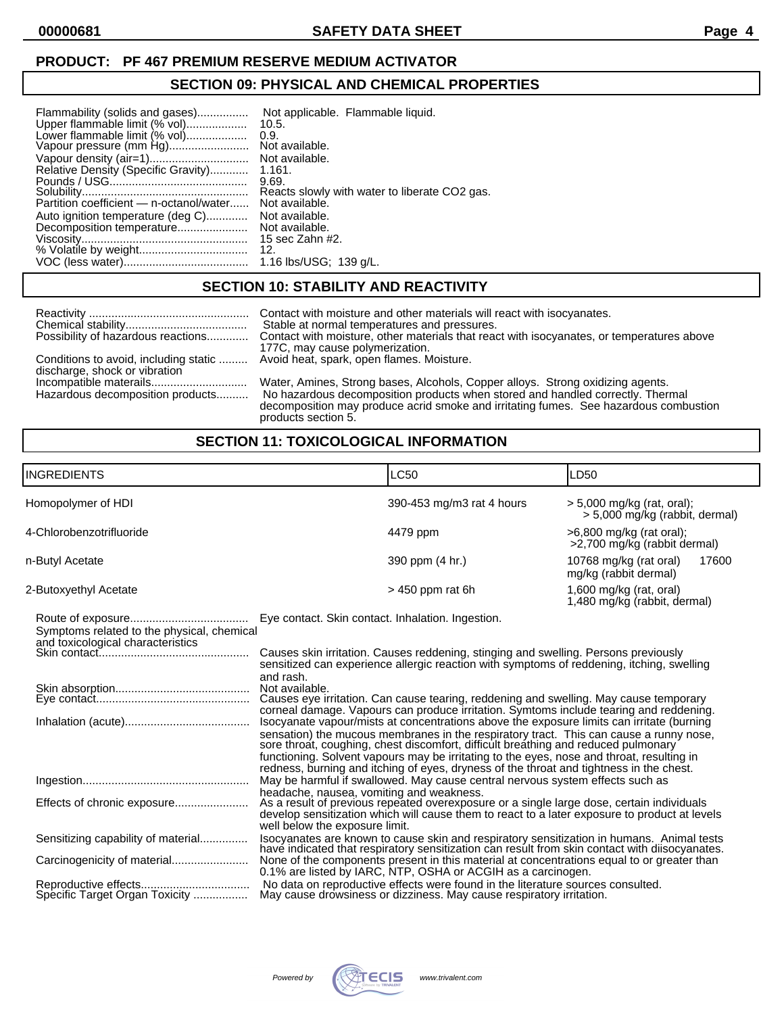### **PRODUCT: PF 467 PREMIUM RESERVE MEDIUM ACTIVATOR**

## **SECTION 09: PHYSICAL AND CHEMICAL PROPERTIES**

| Upper flammable limit (% vol)<br>10.5.<br>Lower flammable limit (% vol)<br>0.9.<br>Relative Density (Specific Gravity)<br>1.161.<br>9.69.<br>Partition coefficient - n-octanol/water<br>Auto ignition temperature (deg C)<br>Decomposition temperature<br>12 <sub>1</sub> | Not available.<br>Not available.<br>Reacts slowly with water to liberate CO2 gas.<br>Not available.<br>Not available.<br>Not available.<br>15 sec Zahn #2. |
|---------------------------------------------------------------------------------------------------------------------------------------------------------------------------------------------------------------------------------------------------------------------------|------------------------------------------------------------------------------------------------------------------------------------------------------------|
|                                                                                                                                                                                                                                                                           | 1.16 lbs/USG; 139 g/L.                                                                                                                                     |

# **SECTION 10: STABILITY AND REACTIVITY**

| Possibility of hazardous reactions                                     | Contact with moisture and other materials will react with isocyanates.<br>Stable at normal temperatures and pressures.<br>Contact with moisture, other materials that react with isocyanates, or temperatures above<br>177C, may cause polymerization.                          |
|------------------------------------------------------------------------|---------------------------------------------------------------------------------------------------------------------------------------------------------------------------------------------------------------------------------------------------------------------------------|
| Conditions to avoid, including static<br>discharge, shock or vibration | Avoid heat, spark, open flames. Moisture.                                                                                                                                                                                                                                       |
| Hazardous decomposition products                                       | Water, Amines, Strong bases, Alcohols, Copper alloys. Strong oxidizing agents.<br>No hazardous decomposition products when stored and handled correctly. Thermal<br>decomposition may produce acrid smoke and irritating fumes. See hazardous combustion<br>products section 5. |

## **SECTION 11: TOXICOLOGICAL INFORMATION**

| <b>INGREDIENTS</b>                                                                                  | <b>LC50</b>                                                                                                                                                                                                                                                                                                                                                                                                                                                                                                                                                                                                                                                                                                                                                                                                                                                                                                               | LD50                                                         |  |
|-----------------------------------------------------------------------------------------------------|---------------------------------------------------------------------------------------------------------------------------------------------------------------------------------------------------------------------------------------------------------------------------------------------------------------------------------------------------------------------------------------------------------------------------------------------------------------------------------------------------------------------------------------------------------------------------------------------------------------------------------------------------------------------------------------------------------------------------------------------------------------------------------------------------------------------------------------------------------------------------------------------------------------------------|--------------------------------------------------------------|--|
| Homopolymer of HDI                                                                                  | 390-453 mg/m3 rat 4 hours                                                                                                                                                                                                                                                                                                                                                                                                                                                                                                                                                                                                                                                                                                                                                                                                                                                                                                 | > 5,000 mg/kg (rat, oral);<br>> 5,000 mg/kg (rabbit, dermal) |  |
| 4-Chlorobenzotrifluoride                                                                            | 4479 ppm                                                                                                                                                                                                                                                                                                                                                                                                                                                                                                                                                                                                                                                                                                                                                                                                                                                                                                                  | >6,800 mg/kg (rat oral);<br>>2,700 mg/kg (rabbit dermal)     |  |
| n-Butyl Acetate                                                                                     | 390 ppm (4 hr.)                                                                                                                                                                                                                                                                                                                                                                                                                                                                                                                                                                                                                                                                                                                                                                                                                                                                                                           | 10768 mg/kg (rat oral)<br>17600<br>mg/kg (rabbit dermal)     |  |
| 2-Butoxyethyl Acetate                                                                               | $>$ 450 ppm rat 6h                                                                                                                                                                                                                                                                                                                                                                                                                                                                                                                                                                                                                                                                                                                                                                                                                                                                                                        | 1,600 mg/kg (rat, oral)<br>1,480 mg/kg (rabbit, dermal)      |  |
| Symptoms related to the physical, chemical<br>and toxicological characteristics                     | Eye contact. Skin contact. Inhalation. Ingestion.<br>Causes skin irritation. Causes reddening, stinging and swelling. Persons previously<br>sensitized can experience allergic reaction with symptoms of reddening, itching, swelling<br>and rash.<br>Not available.<br>Causes eye irritation. Can cause tearing, reddening and swelling. May cause temporary<br>corneal damage. Vapours can produce irritation. Symtoms include tearing and reddening.<br>Isocyanate vapour/mists at concentrations above the exposure limits can irritate (burning<br>sensation) the mucous membranes in the respiratory tract. This can cause a runny nose, sore throat, coughing, chest discomfort, difficult breathing and reduced pulmonary<br>functioning. Solvent vapours may be irritating to the eyes, nose and throat, resulting in<br>redness, burning and itching of eyes, dryness of the throat and tightness in the chest. |                                                              |  |
| Effects of chronic exposure                                                                         | May be harmful if swallowed. May cause central nervous system effects such as<br>headache, nausea, vomiting and weakness.<br>As a result of previous repeated overexposure or a single large dose, certain individuals<br>develop sensitization which will cause them to react to a later exposure to product at levels<br>well below the exposure limit.                                                                                                                                                                                                                                                                                                                                                                                                                                                                                                                                                                 |                                                              |  |
| Sensitizing capability of material<br>Carcinogenicity of material<br>Specific Target Organ Toxicity | Isocyanates are known to cause skin and respiratory sensitization in humans. Animal tests<br>have indicated that respiratory sensitization can result from skin contact with diisocyanates.<br>None of the components present in this material at concentrations equal to or greater than<br>0.1% are listed by IARC, NTP, OSHA or ACGIH as a carcinogen.<br>No data on reproductive effects were found in the literature sources consulted.<br>May cause drowsiness or dizziness. May cause respiratory irritation.                                                                                                                                                                                                                                                                                                                                                                                                      |                                                              |  |